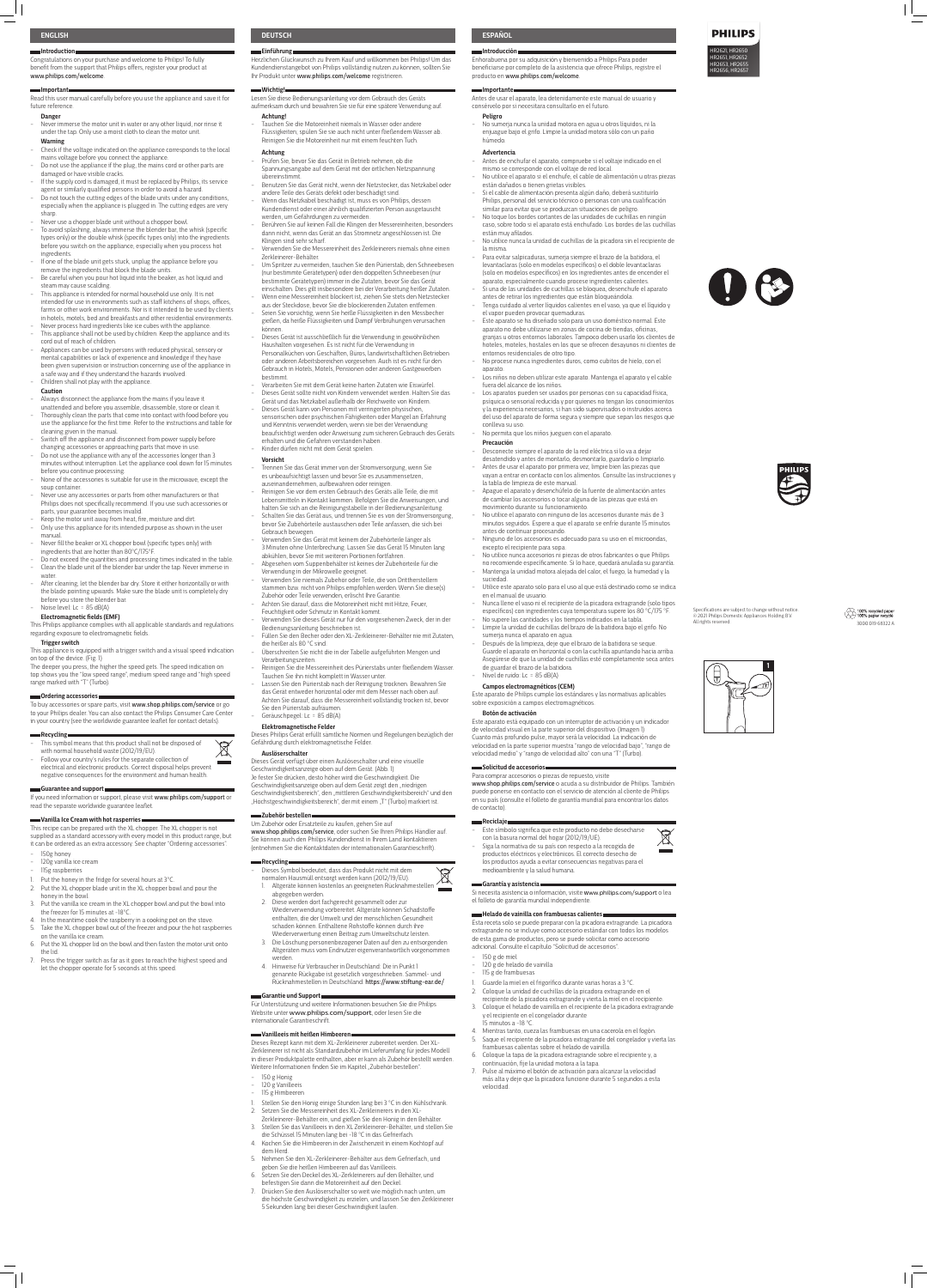# **ENGLISH**

**Introduction**

# Congratulations on your purchase and welcome to Philips! To fully benefit from the support that Philips offers, register your product at www.philips.com/welcome.

## **Important**

Never immerse the motor unit in water or any other liquid, nor rinse it under the tap. Only use a moist cloth to clean the motor unit. **Warning**

Read this user manual carefully before you use the appliance and save it for future reference.

## **Danger**

# - Check if the voltage indicated on the appliance corresponds to the local mains voltage before you connect the appliance.

- Do not use the appliance if the plug, the mains cord or other parts are damaged or have visible cracks.
- If the supply cord is damaged, it must be replaced by Philips, its service agent or similarly qualified persons in order to avoid a hazard.
- Do not touch the cutting edges of the blade units under any conditions, especially when the appliance is plugged in. The cutting edges are very sharp.
- Never use a chopper blade unit without a chopper bowl.
- To avoid splashing, always immerse the blender bar, the whisk (specific types only) or the double whisk (specific types only) into the ingredients before you switch on the appliance, especially when you process hot ingredients.
- If one of the blade unit gets stuck, unplug the appliance before you remove the ingredients that block the blade units.
- Be careful when you pour hot liquid into the beaker, as hot liquid and steam may cause scalding.
- This appliance is intended for normal household use only. It is not intended for use in environments such as staff kitchens of shops, offices, farms or other work environments. Nor is it intended to be used by clients in hotels, motels, bed and breakfasts and other residential environments.
- Never process hard ingredients like ice cubes with the appliance. - This appliance shall not be used by children. Keep the appliance and its cord out of reach of children.
- Appliances can be used by persons with reduced physical, sensory or mental capabilities or lack of experience and knowledge if they have been given supervision or instruction concerning use of the appliance in a safe way and if they understand the hazards involved.
- Children shall not play with the appliance.

# **Caution**

- Always disconnect the appliance from the mains if you leave it unattended and before you assemble, disassemble, store or clean it. Thoroughly clean the parts that come into contact with food before you use the appliance for the first time. Refer to the instructions and table for cleaning given in the manual.
- Switch off the appliance and disconnect from power supply before changing accessories or approaching parts that move in use.
- Do not use the appliance with any of the accessories longer than 3 minutes without interruption. Let the appliance cool down for 15 minutes before you continue processing.
- None of the accessories is suitable for use in the microwave, except the soup container.
- Never use any accessories or parts from other manufacturers or that Philips does not specifically recommend. If you use such accessories or parts, your guarantee becomes invalid.
- Keep the motor unit away from heat, fire, moisture and dirt.
- Only use this appliance for its intended purpose as shown in the user manual
- Never fill the beaker or XL chopper bowl (specific types only) with ingredients that are hotter than 80°C/175°F.
- Do not exceed the quantities and processing times indicated in the table. - Clean the blade unit of the blender bar under the tap. Never immerse in
- water
- After cleaning, let the blender bar dry. Store it either horizontally or with the blade pointing upwards. Make sure the blade unit is completely dry before you store the blender bar.
- $-$  Noise level: Lc = 85 dB(A)

If you need information or support, please visit www.philips.com/support or read the separate worldwide guarantee leaflet.

- 150g honey
- 120g vanilla ice cream
- 115g raspberries
- Put the honey in the fridge for several hours at 3°C.
- 2. Put the XL chopper blade unit in the XL chopper bowl and pour the honey in the bowl.
- 3. Put the vanilla ice cream in the XL chopper bowl and put the bowl into the freezer for 15 minutes at -18°C.
- 4. In the meantime cook the raspberry in a cooking pot on the stove.
- 5. Take the XL chopper bowl out of the freezer and pour the hot raspberries on the vanilla ice cream.
- 6. Put the XL chopper lid on the bowl and then fasten the motor unit onto the lid.
- 7. Press the trigger switch as far as it goes to reach the highest speed and let the chopper operate for 5 seconds at this speed.

# **Electromagnetic fields (EMF)**

This Philips appliance complies with all applicable standards and regulations regarding exposure to electromagnetic fields.

# **Trigger switch**

This appliance is equipped with a trigger switch and a visual speed indication on top of the device. (Fig. 1)

The deeper you press, the higher the speed gets. The speed indication on top shows you the "low speed range", medium speed range and "high speed range marked with "T" (Turbo).

## **Ordering accessories**

To buy accessories or spare parts, visit www.shop.philips.com/service or go to your Philips dealer. You can also contact the Philips Consumer Care Center in your country (see the worldwide guarantee leaflet for contact details).

## **Recycling**

- This symbol means that this product shall not be disposed of with normal household waste (2012/19/EU).
- Follow your country's rules for the separate collection of electrical and electronic products. Correct disposal helps prevent negative consequences for the environment and human health.

## **Guarantee and support**

## **Vanilla Ice Cream with hot rasperries**

This recipe can be prepared with the XL chopper. The XL chopper is not supplied as a standard accessory with every model in this product range, but it can be ordered as an extra accessory. See chapter "Ordering accessories".

Dieses Philips Gerät erfüllt sämtliche Normen und Regelungen bezüglich der Gefährdung durch elektromagnetische Felder. **Auslöserschalter Contract Contract** 

Dieses Gerät verfügt über einen Auslöseschalter und eine visuelle Geschwindigkeitsanzeige oben auf dem Gerät. (Abb. 1) Je fester Sie drücken, desto höher wird die Geschwindigkeit. Die Geschwindigkeitsanzeige oben auf dem Gerät zeigt den "niedrigen Geschwindigkeitsbereich", den "mittleren Geschwindigkeitsbereich" und den "Höchstgeschwindigkeitsbereich", der mit einem "T" (Turbo) markiert ist.

# **DEUTSCH**

**Einführung** Herzlichen Glückwunsch zu Ihrem Kauf und willkommen bei Philips! Um das Kundendienstangebot von Philips vollständig nutzen zu können, sollten Sie Ihr Produkt unter www.philips.com/welcome registrieren.

# **Wichtig!**

Dieses Rezept kann mit dem XL-Zerkleinerer zubereitet werden. Der XL-Zerkleinerer ist nicht als Standardzubehör im Lieferumfang für jedes Modell in dieser Produktpalette enthalten, aber er kann als Zubehör bestellt werden. Weitere Informationen finden Sie im Kapitel "Zubehör bestellen".

- Lesen Sie diese Bedienungsanleitung vor dem Gebrauch des Geräts aufmerksam durch und bewahren Sie sie für eine spätere Verwendung auf. **Achtung!**
- Tauchen Sie die Motoreinheit niemals in Wasser oder andere Flüssigkeiten; spülen Sie sie auch nicht unter fließendem Wasser ab. Reinigen Sie die Motoreinheit nur mit einem feuchten Tuch.

# **Achtung**

- Prüfen Sie, bevor Sie das Gerät in Betrieb nehmen, ob die Spannungsangabe auf dem Gerät mit der örtlichen Netzspannung übereinstimmt.
- Benutzen Sie das Gerät nicht, wenn der Netzstecker, das Netzkabel oder andere Teile des Geräts defekt oder beschädigt sind.
- Wenn das Netzkabel beschädigt ist, muss es von Philips, dessen Kundendienst oder einer ähnlich qualifizierten Person ausgetauscht werden, um Gefährdungen zu vermeiden.
- Berühren Sie auf keinen Fall die Klingen der Messereinheiten, besonders dann nicht, wenn das Gerät an das Stromnetz angeschlossen ist. Die Klingen sind sehr scharf.
- Verwenden Sie die Messereinheit des Zerkleinerers niemals ohne einen Zerkleinerer-Behälter.
- Um Spritzer zu vermeiden, tauchen Sie den Pürierstab, den Schneebesen (nur bestimmte Gerätetypen) oder den doppelten Schneebesen (nur bestimmte Gerätetypen) immer in die Zutaten, bevor Sie das Gerät einschalten. Dies gilt insbesondere bei der Verarbeitung heißer Zutaten.
- Wenn eine Messereinheit blockiert ist, ziehen Sie stets den Netzstecker aus der Steckdose, bevor Sie die blockierenden Zutaten entfernen.
- Seien Sie vorsichtig, wenn Sie heiße Flüssigkeiten in den Messbecher gießen, da heiße Flüssigkeiten und Dampf Verbrühungen verursachen können.
- Dieses Gerät ist ausschließlich für die Verwendung in gewöhnlichen Haushalten vorgesehen. Es ist nicht für die Verwendung in Personalküchen von Geschäften, Büros, landwirtschaftlichen Betrieben oder anderen Arbeitsbereichen vorgesehen. Auch ist es nicht für den Gebrauch in Hotels, Motels, Pensionen oder anderen Gastgewerben bestimmt.
- Verarbeiten Sie mit dem Gerät keine harten Zutaten wie Eiswürfel.
- Dieses Gerät sollte nicht von Kindern verwendet werden. Halten Sie das
- Gerät und das Netzkabel außerhalb der Reichweite von Kindern. - Dieses Gerät kann von Personen mit verringerten physischen, sensorischen oder psychischen Fähigkeiten oder Mangel an Erfahrung und Kenntnis verwendet werden, wenn sie bei der Verwendung beaufsichtigt werden oder Anweisung zum sicheren Gebrauch des Geräts erhalten und die Gefahren verstanden haben.
- Kinder dürfen nicht mit dem Gerät spielen.

# **Vorsicht**

- Trennen Sie das Gerät immer von der Stromversorgung, wenn Sie es unbeaufsichtigt lassen und bevor Sie es zusammensetzen, auseinandernehmen, aufbewahren oder reinigen.
- Reinigen Sie vor dem ersten Gebrauch des Geräts alle Teile, die mit Lebensmitteln in Kontakt kommen. Befolgen Sie die Anweisungen, und halten Sie sich an die Reinigungstabelle in der Bedienungsanleitung.
- Schalten Sie das Gerät aus, und trennen Sie es von der Stromversorgung, bevor Sie Zubehörteile austauschen oder Teile anfassen, die sich bei Gebrauch bewegen.
- Verwenden Sie das Gerät mit keinem der Zubehörteile länger als 3 Minuten ohne Unterbrechung. Lassen Sie das Gerät 15 Minuten lang
- abkühlen, bevor Sie mit weiteren Portionen fortfahren. - Abgesehen vom Suppenbehälter ist keines der Zubehörteile für die Verwendung in der Mikrowelle geeignet.
- Verwenden Sie niemals Zubehör oder Teile, die von Drittherstellern stammen bzw. nicht von Philips empfohlen werden. Wenn Sie diese(s)
- Zubehör oder Teile verwenden, erlischt Ihre Garantie. - Achten Sie darauf, dass die Motoreinheit nicht mit Hitze, Feuer,
- Feuchtigkeit oder Schmutz in Kontakt kommt. - Verwenden Sie dieses Gerät nur für den vorgesehenen Zweck, der in der
- Bedienungsanleitung beschrieben ist. - Füllen Sie den Becher oder den XL-Zerkleinerer-Behälter nie mit Zutaten, die heißer als 80 °C sind.

Verarbeitungszeiten.

- Lassen Sie den Pürierstab nach der Reinigung trocknen. Bewahren Sie das Gerät entweder horizontal oder mit dem Messer nach oben auf. Achten Sie darauf, dass die Messereinheit vollständig trocken ist, bevor

Überschreiten Sie nicht die in der Tabelle aufgeführten Mengen und

Sie den Pürierstab aufräumen. - Geräuschpegel: Lc = 85 dB(A) **Elektromagnetische Felder**

## **Zubehör bestellen** Um Zubehör oder Ersatzteile zu kaufen, gehen Sie auf

www.shop.philips.com/service, oder suchen Sie Ihren Philips Händler auf. Sie können auch den Philips Kundendienst in Ihrem Land kontaktieren (entnehmen Sie die Kontaktdaten der internationalen Garantieschrift).

# - Dieses Symbol bedeutet, dass das Produkt nicht mit dem

**Recycling** 

- normalen Hausmüll entsorgt werden kann (2012/19/EU). 1. Altgeräte können kostenlos an geeigneten Rücknahmestellen abgegeben werden.
- 2. Diese werden dort fachgerecht gesammelt oder zur Wiederverwendung vorbereitet. Altgeräte können Schadstoffe enthalten, die der Umwelt und der menschlichen Gesundheit schaden können. Enthaltene Rohstoffe können durch ihre Wiederverwertung einen Beitrag zum Umweltschutz leisten.
- 3. Die Löschung personenbezogener Daten auf den zu entsorgenden Altgeräten muss vom Endnutzer eigenverantwortlich vorgenommen werden.
- 4. Hinweise für Verbraucher in Deutschland: Die in Punkt 1 genannte Rückgabe ist gesetzlich vorgeschrieben. Sammel- und Rücknahmestellen in Deutschland: https://www.stiftung-ear.de/

# **Garantie und Support**

Für Unterstützung und weitere Informationen besuchen Sie die Philips Website unter www.philips.com/support, oder lesen Sie die internationale Garantieschrift.

## **Vanilleeis mit heißen Himbeeren**

- 150 g Honig
- 120 g Vanilleeis
- 115 g Himbeeren
- 1. Stellen Sie den Honig einige Stunden lang bei 3 °C in den Kühlschrank.
- 2. Setzen Sie die Messereinheit des XL-Zerkleinerers in den XL-Zerkleinerer-Behälter ein, und gießen Sie den Honig in den Behälter.
- 3. Stellen Sie das Vanilleeis in den XL Zerkleinerer-Behälter, und stellen Sie die Schüssel 15 Minuten lang bei -18 °C in das Gefrierfach.
- 4. Kochen Sie die Himbeeren in der Zwischenzeit in einem Kochtopf auf dem Herd.
- 5. Nehmen Sie den XL-Zerkleinerer-Behälter aus dem Gefrierfach, und geben Sie die heißen Himbeeren auf das Vanilleeis.
- 6. Setzen Sie den Deckel des XL-Zerkleinerers auf den Behälter, und befestigen Sie dann die Motoreinheit auf den Deckel.
- 7. Drücken Sie den Auslöserschalter so weit wie möglich nach unten, um die höchste Geschwindigkeit zu erzielen, und lassen Sie den Zerkleinerer 5 Sekunden lang bei dieser Geschwindigkeit laufen.

**ESPAÑOL**

**Introducción**

Enhorabuena por su adquisición y bienvenido a Philips Para poder beneficiarse por completo de la asistencia que ofrece Philips, registre el producto en www.philips.com/welcome.

## **Importante**

Antes de usar el aparato, lea detenidamente este manual de usuario y consérvelo por si necesitara consultarlo en el futuro.

**Peligro** - No sumerja nunca la unidad motora en agua u otros líquidos, ni la enjuague bajo el grifo. Limpie la unidad motora sólo con un paño húmedo.

- Reinigen Sie die Messereinheit des Pürierstabs unter fließendem Wasser. Tauchen Sie ihn nicht komplett in Wasser unter. Nivel de ruido: Lc =  $85$  dB(A)
	- **Campos electromagnéticos (CEM)**

# **Advertencia**

- Antes de enchufar el aparato, compruebe si el voltaje indicado en el mismo se corresponde con el voltaje de red local.
- No utilice el aparato si el enchufe, el cable de alimentación u otras piezas están dañados o tienen grietas visibles.
- Si el cable de alimentación presenta algún daño, deberá sustituirlo Philips, personal del servicio técnico o personas con una cualificación similar para evitar que se produzcan situaciones de peligro.
- No toque los bordes cortantes de las unidades de cuchillas en ningún caso, sobre todo si el aparato está enchufado. Los bordes de las cuchillas están muy afilados.
- No utilice nunca la unidad de cuchillas de la picadora sin el recipiente de la misma.
- Para evitar salpicaduras, sumerja siempre el brazo de la batidora, el levantaclaras (solo en modelos específicos) o el doble levantaclaras (solo en modelos específicos) en los ingredientes antes de encender el aparato, especialmente cuando procese ingredientes calientes.
- Si una de las unidades de cuchillas se bloquea, desenchufe el aparato antes de retirar los ingredientes que están bloqueándola.
- Tenga cuidado al verter líquidos calientes en el vaso, ya que el líquido y el vapor pueden provocar quemaduras.
- Este aparato se ha diseñado solo para un uso doméstico normal. Este aparato no debe utilizarse en zonas de cocina de tiendas, oficinas, granjas u otros entornos laborales. Tampoco deben usarlo los clientes de hoteles, moteles, hostales en los que se ofrecen desayunos ni clientes de entornos residenciales de otro tipo.
- No procese nunca ingredientes duros, como cubitos de hielo, con el aparato.
- Los niños no deben utilizar este aparato. Mantenga el aparato y el cable fuera del alcance de los niños.
- Los aparatos pueden ser usados por personas con su capacidad física, psíquica o sensorial reducida y por quienes no tengan los conocimientos y la experiencia necesarios, si han sido supervisados o instruidos acerca del uso del aparato de forma segura y siempre que sepan los riesgos que conlleva su uso.
- No permita que los niños jueguen con el aparato. **Precaución**
- Desconecte siempre el aparato de la red eléctrica si lo va a dejar desatendido y antes de montarlo, desmontarlo, guardarlo o limpiarlo.
	- Antes de usar el aparato por primera vez, limpie bien las piezas que vayan a entrar en contacto con los alimentos. Consulte las instrucciones y la tabla de limpieza de este manual.
- Apague el aparato y desenchúfelo de la fuente de alimentación antes de cambiar los accesorios o tocar alguna de las piezas que está en movimiento durante su funcionamiento.
- No utilice el aparato con ninguno de los accesorios durante más de 3 minutos seguidos. Espere a que el aparato se enfríe durante 15 minutos antes de continuar procesando.
- Ninguno de los accesorios es adecuado para su uso en el microondas, excepto el recipiente para sopa.
- No utilice nunca accesorios ni piezas de otros fabricantes o que Philips no recomiende específicamente. Si lo hace, quedará anulada su garantía. Mantenga la unidad motora alejada del calor, el fuego, la humedad y la
- suciedad. - Utilice este aparato solo para el uso al que está destinado como se indica
- en el manual de usuario. - Nunca llene el vaso ni el recipiente de la picadora extragrande (solo tipos específicos) con ingredientes cuya temperatura supere los 80 °C/175 °F.
- No supere las cantidades y los tiempos indicados en la tabla.
- Limpie la unidad de cuchillas del brazo de la batidora bajo el grifo. No sumerja nunca el aparato en agua.
- Después de la limpieza, deje que el brazo de la batidora se seque. Guarde el aparato en horizontal o con la cuchilla apuntando hacia arriba. Asegúrese de que la unidad de cuchillas esté completamente seca antes de guardar el brazo de la batidora.

Este aparato de Philips cumple los estándares y las normativas aplicables sobre exposición a campos electromagnéticos.

## **Botón de activación**

Este aparato está equipado con un interruptor de activación y un indicador de velocidad visual en la parte superior del dispositivo. (Imagen 1) Cuanto más profundo pulse, mayor será la velocidad. La indicación de velocidad en la parte superior muestra "rango de velocidad bajo", "rango de velocidad medio" y "rango de velocidad alto" con una "T" (Turbo).

## **Solicitud de accesorios**

Para comprar accesorios o piezas de repuesto, visite www.shop.philips.com/service o acuda a su distribuidor de Philips. También puede ponerse en contacto con el servicio de atención al cliente de Philips en su país (consulte el folleto de garantía mundial para encontrar los datos de contacto).

#### **Reciclaje**

- Este símbolo significa que este producto no debe desecharse con la basura normal del hogar (2012/19/UE).
- Siga la normativa de su país con respecto a la recogida de productos eléctricos y electrónicos. El correcto desecho de los productos ayuda a evitar consecuencias negativas para el medioambiente y la salud humana.

# **Garantía y asistencia**

Si necesita asistencia o información, visite www.philips.com/support o lea el folleto de garantía mundial independiente.

### **Helado de vainilla con frambuesas calientes**

Esta receta solo se puede preparar con la picadora extragrande. La picadora de esta gama de productos, pero se puede solicitar como accesorio

extragrande no se incluye como accesorio estándar con todos los modelos adicional. Consulte el capítulo "Solicitud de accesorios".

- 150 g de miel
- 
- 115 g de frambuesas
- 
- 120 g de helado de vainilla
- 
- 1. Guarde la miel en el frigorífico durante varias horas a 3 °C.
- 2. Coloque la unidad de cuchillas de la picadora extragrande en el recipiente de la picadora extragrande y vierta la miel en el recipiente.
- 3. Coloque el helado de vainilla en el recipiente de la picadora extragrande y el recipiente en el congelador durante 15 minutos a -18 °C.
- 4. Mientras tanto, cueza las frambuesas en una cacerola en el fogón.
- 5. Saque el recipiente de la picadora extragrande del congelador y vierta las frambuesas calientas sobre el helado de vainilla.
- 6. Coloque la tapa de la picadora extragrande sobre el recipiente y, a continuación, fije la unidad motora a la tapa.
- 7. Pulse al máximo el botón de activación para alcanzar la velocidad más alta y deje que la picadora funcione durante 5 segundos a esta velocidad.



3000 019 68322 A

100% recycled pape<br>100% papier recycle



**PHILIPS** 



Specifications are subject to change without notice. © 2021 Philips Domestic Appliances Holding B.V.

All rights reserved.